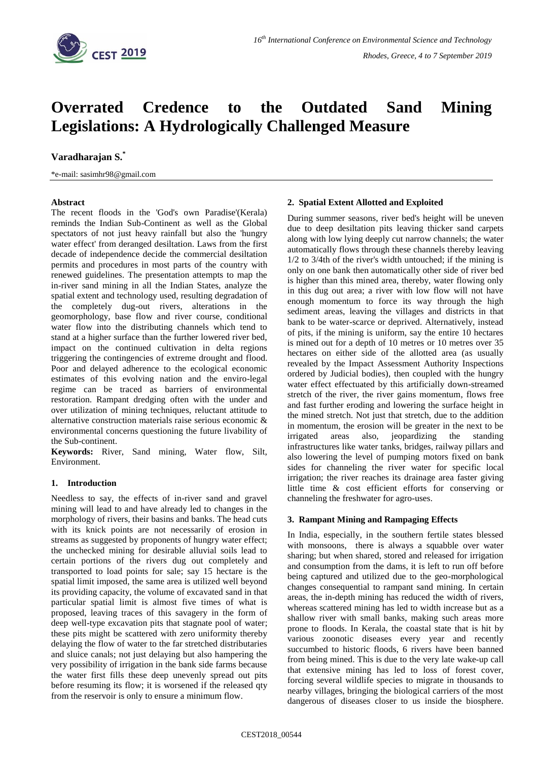

# **Overrated Credence to the Outdated Sand Mining Legislations: A Hydrologically Challenged Measure**

## **Varadharajan S.\***

\*e-mail: sasimhr98@gmail.com

## **Abstract**

The recent floods in the 'God's own Paradise'(Kerala) reminds the Indian Sub-Continent as well as the Global spectators of not just heavy rainfall but also the 'hungry water effect' from deranged desiltation. Laws from the first decade of independence decide the commercial desiltation permits and procedures in most parts of the country with renewed guidelines. The presentation attempts to map the in-river sand mining in all the Indian States, analyze the spatial extent and technology used, resulting degradation of the completely dug-out rivers, alterations in the geomorphology, base flow and river course, conditional water flow into the distributing channels which tend to stand at a higher surface than the further lowered river bed, impact on the continued cultivation in delta regions triggering the contingencies of extreme drought and flood. Poor and delayed adherence to the ecological economic estimates of this evolving nation and the enviro-legal regime can be traced as barriers of environmental restoration. Rampant dredging often with the under and over utilization of mining techniques, reluctant attitude to alternative construction materials raise serious economic & environmental concerns questioning the future livability of the Sub-continent.

**Keywords:** River, Sand mining, Water flow, Silt, Environment.

## **1. Introduction**

Needless to say, the effects of in-river sand and gravel mining will lead to and have already led to changes in the morphology of rivers, their basins and banks. The head cuts with its knick points are not necessarily of erosion in streams as suggested by proponents of hungry water effect; the unchecked mining for desirable alluvial soils lead to certain portions of the rivers dug out completely and transported to load points for sale; say 15 hectare is the spatial limit imposed, the same area is utilized well beyond its providing capacity, the volume of excavated sand in that particular spatial limit is almost five times of what is proposed, leaving traces of this savagery in the form of deep well-type excavation pits that stagnate pool of water; these pits might be scattered with zero uniformity thereby delaying the flow of water to the far stretched distributaries and sluice canals; not just delaying but also hampering the very possibility of irrigation in the bank side farms because the water first fills these deep unevenly spread out pits before resuming its flow; it is worsened if the released qty from the reservoir is only to ensure a minimum flow.

#### **2. Spatial Extent Allotted and Exploited**

During summer seasons, river bed's height will be uneven due to deep desiltation pits leaving thicker sand carpets along with low lying deeply cut narrow channels; the water automatically flows through these channels thereby leaving 1/2 to 3/4th of the river's width untouched; if the mining is only on one bank then automatically other side of river bed is higher than this mined area, thereby, water flowing only in this dug out area; a river with low flow will not have enough momentum to force its way through the high sediment areas, leaving the villages and districts in that bank to be water-scarce or deprived. Alternatively, instead of pits, if the mining is uniform, say the entire 10 hectares is mined out for a depth of 10 metres or 10 metres over 35 hectares on either side of the allotted area (as usually revealed by the Impact Assessment Authority Inspections ordered by Judicial bodies), then coupled with the hungry water effect effectuated by this artificially down-streamed stretch of the river, the river gains momentum, flows free and fast further eroding and lowering the surface height in the mined stretch. Not just that stretch, due to the addition in momentum, the erosion will be greater in the next to be irrigated areas also, jeopardizing the standing infrastructures like water tanks, bridges, railway pillars and also lowering the level of pumping motors fixed on bank sides for channeling the river water for specific local irrigation; the river reaches its drainage area faster giving little time & cost efficient efforts for conserving or channeling the freshwater for agro-uses.

#### **3. Rampant Mining and Rampaging Effects**

In India, especially, in the southern fertile states blessed with monsoons, there is always a squabble over water sharing; but when shared, stored and released for irrigation and consumption from the dams, it is left to run off before being captured and utilized due to the geo-morphological changes consequential to rampant sand mining. In certain areas, the in-depth mining has reduced the width of rivers, whereas scattered mining has led to width increase but as a shallow river with small banks, making such areas more prone to floods. In Kerala, the coastal state that is hit by various zoonotic diseases every year and recently succumbed to historic floods, 6 rivers have been banned from being mined. This is due to the very late wake-up call that extensive mining has led to loss of forest cover, forcing several wildlife species to migrate in thousands to nearby villages, bringing the biological carriers of the most dangerous of diseases closer to us inside the biosphere.